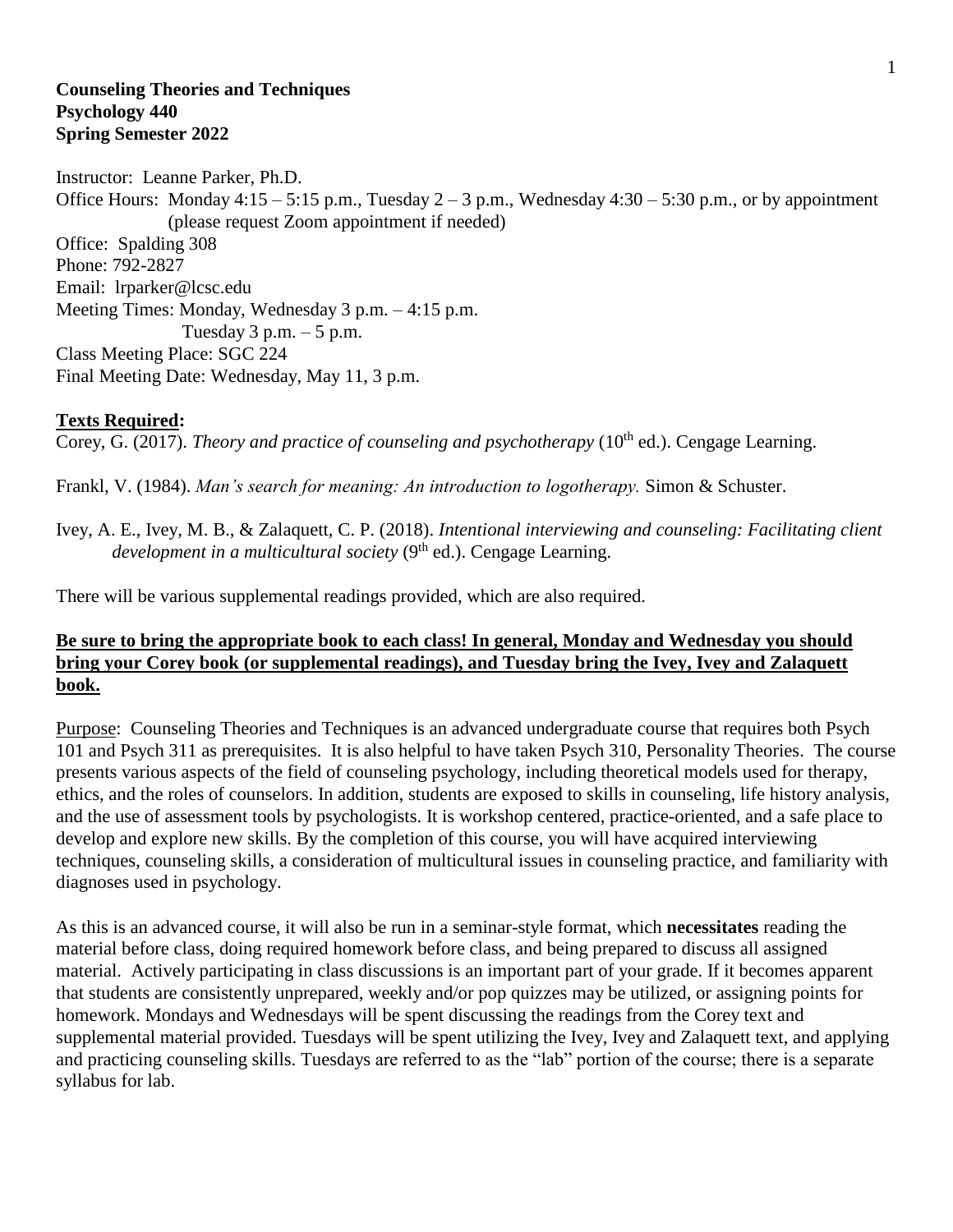#### **Counseling Theories and Techniques Psychology 440 Spring Semester 2022**

Instructor: Leanne Parker, Ph.D. Office Hours: Monday  $4:15 - 5:15$  p.m., Tuesday  $2 - 3$  p.m., Wednesday  $4:30 - 5:30$  p.m., or by appointment (please request Zoom appointment if needed) Office: Spalding 308 Phone: 792-2827 Email: lrparker@lcsc.edu Meeting Times: Monday, Wednesday 3 p.m. – 4:15 p.m. Tuesday  $3$  p.m.  $-5$  p.m. Class Meeting Place: SGC 224 Final Meeting Date: Wednesday, May 11, 3 p.m.

#### **Texts Required:**

Corey, G. (2017). *Theory and practice of counseling and psychotherapy* (10<sup>th</sup> ed.). Cengage Learning.

Frankl, V. (1984). *Man's search for meaning: An introduction to logotherapy.* Simon & Schuster.

Ivey, A. E., Ivey, M. B., & Zalaquett, C. P. (2018). *Intentional interviewing and counseling: Facilitating client development in a multicultural society* (9<sup>th</sup> ed.). Cengage Learning.

There will be various supplemental readings provided, which are also required.

# **Be sure to bring the appropriate book to each class! In general, Monday and Wednesday you should bring your Corey book (or supplemental readings), and Tuesday bring the Ivey, Ivey and Zalaquett book.**

Purpose: Counseling Theories and Techniques is an advanced undergraduate course that requires both Psych 101 and Psych 311 as prerequisites. It is also helpful to have taken Psych 310, Personality Theories. The course presents various aspects of the field of counseling psychology, including theoretical models used for therapy, ethics, and the roles of counselors. In addition, students are exposed to skills in counseling, life history analysis, and the use of assessment tools by psychologists. It is workshop centered, practice-oriented, and a safe place to develop and explore new skills. By the completion of this course, you will have acquired interviewing techniques, counseling skills, a consideration of multicultural issues in counseling practice, and familiarity with diagnoses used in psychology.

As this is an advanced course, it will also be run in a seminar-style format, which **necessitates** reading the material before class, doing required homework before class, and being prepared to discuss all assigned material. Actively participating in class discussions is an important part of your grade. If it becomes apparent that students are consistently unprepared, weekly and/or pop quizzes may be utilized, or assigning points for homework. Mondays and Wednesdays will be spent discussing the readings from the Corey text and supplemental material provided. Tuesdays will be spent utilizing the Ivey, Ivey and Zalaquett text, and applying and practicing counseling skills. Tuesdays are referred to as the "lab" portion of the course; there is a separate syllabus for lab.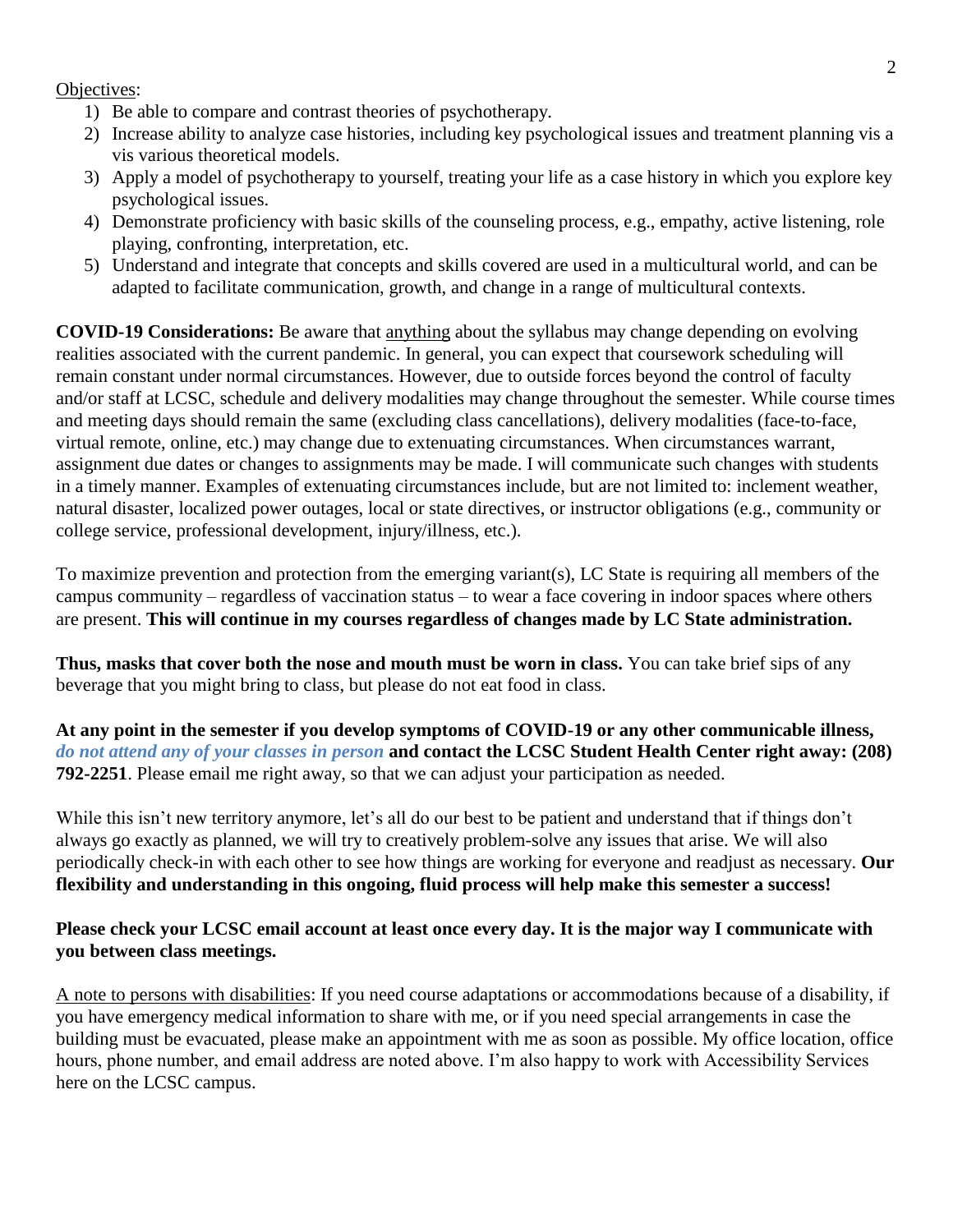#### Objectives:

- 1) Be able to compare and contrast theories of psychotherapy.
- 2) Increase ability to analyze case histories, including key psychological issues and treatment planning vis a vis various theoretical models.
- 3) Apply a model of psychotherapy to yourself, treating your life as a case history in which you explore key psychological issues.
- 4) Demonstrate proficiency with basic skills of the counseling process, e.g., empathy, active listening, role playing, confronting, interpretation, etc.
- 5) Understand and integrate that concepts and skills covered are used in a multicultural world, and can be adapted to facilitate communication, growth, and change in a range of multicultural contexts.

**COVID-19 Considerations:** Be aware that anything about the syllabus may change depending on evolving realities associated with the current pandemic. In general, you can expect that coursework scheduling will remain constant under normal circumstances. However, due to outside forces beyond the control of faculty and/or staff at LCSC, schedule and delivery modalities may change throughout the semester. While course times and meeting days should remain the same (excluding class cancellations), delivery modalities (face-to-face, virtual remote, online, etc.) may change due to extenuating circumstances. When circumstances warrant, assignment due dates or changes to assignments may be made. I will communicate such changes with students in a timely manner. Examples of extenuating circumstances include, but are not limited to: inclement weather, natural disaster, localized power outages, local or state directives, or instructor obligations (e.g., community or college service, professional development, injury/illness, etc.).

To maximize prevention and protection from the emerging variant(s), LC State is requiring all members of the campus community – regardless of vaccination status – to wear a face covering in indoor spaces where others are present. **This will continue in my courses regardless of changes made by LC State administration.**

**Thus, masks that cover both the nose and mouth must be worn in class.** You can take brief sips of any beverage that you might bring to class, but please do not eat food in class.

**At any point in the semester if you develop symptoms of COVID-19 or any other communicable illness,**  *do not attend any of your classes in person* **and contact the LCSC Student Health Center right away: (208) 792-2251**. Please email me right away, so that we can adjust your participation as needed.

While this isn't new territory anymore, let's all do our best to be patient and understand that if things don't always go exactly as planned, we will try to creatively problem-solve any issues that arise. We will also periodically check-in with each other to see how things are working for everyone and readjust as necessary. **Our flexibility and understanding in this ongoing, fluid process will help make this semester a success!**

# **Please check your LCSC email account at least once every day. It is the major way I communicate with you between class meetings.**

A note to persons with disabilities: If you need course adaptations or accommodations because of a disability, if you have emergency medical information to share with me, or if you need special arrangements in case the building must be evacuated, please make an appointment with me as soon as possible. My office location, office hours, phone number, and email address are noted above. I'm also happy to work with Accessibility Services here on the LCSC campus.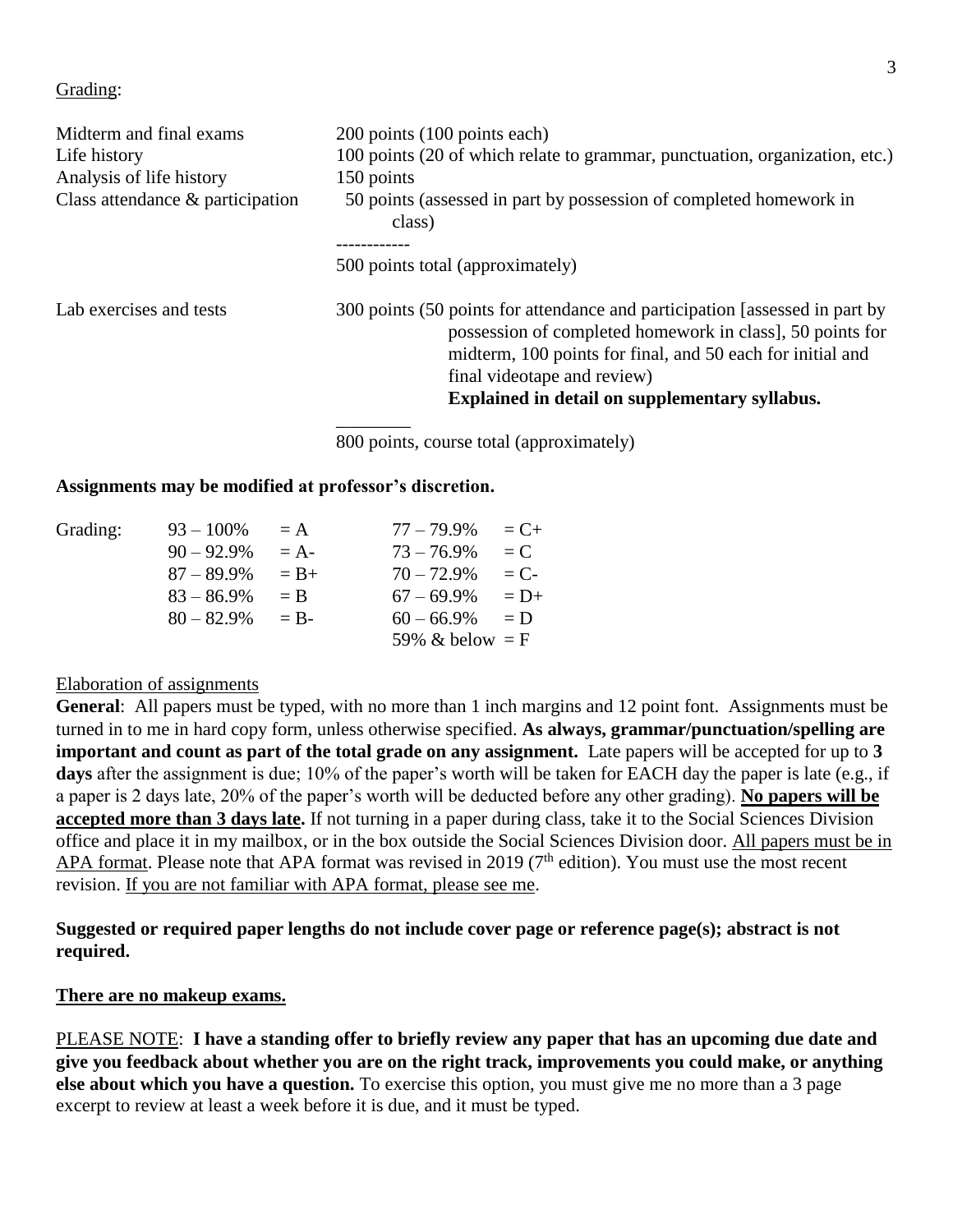#### Grading:

| Midterm and final exams<br>Life history<br>Analysis of life history<br>Class attendance $\&$ participation | 200 points (100 points each)<br>100 points (20 of which relate to grammar, punctuation, organization, etc.)<br>150 points<br>50 points (assessed in part by possession of completed homework in<br>class)                                                                               |  |  |  |
|------------------------------------------------------------------------------------------------------------|-----------------------------------------------------------------------------------------------------------------------------------------------------------------------------------------------------------------------------------------------------------------------------------------|--|--|--|
|                                                                                                            | 500 points total (approximately)                                                                                                                                                                                                                                                        |  |  |  |
| Lab exercises and tests                                                                                    | 300 points (50 points for attendance and participation [assessed in part by<br>possession of completed homework in class], 50 points for<br>midterm, 100 points for final, and 50 each for initial and<br>final videotape and review)<br>Explained in detail on supplementary syllabus. |  |  |  |

800 points, course total (approximately)

#### **Assignments may be modified at professor's discretion.**

| Grading: | $93 - 100\%$  | $= A$   | $77 - 79.9\%$     | $= C+$  |
|----------|---------------|---------|-------------------|---------|
|          | $90 - 92.9\%$ | $= A -$ | $73 - 76.9\%$     | $= C$   |
|          | $87 - 89.9\%$ | $= B+$  | $70 - 72.9\%$     | $= C$ - |
|          | $83 - 86.9\%$ | $=$ B   | $67 - 69.9\%$     | $= D+$  |
|          | $80 - 82.9\%$ | $=$ R-  | $60 - 66.9\%$     | $= D$   |
|          |               |         | 59% & below $=$ F |         |

#### Elaboration of assignments

**General**: All papers must be typed, with no more than 1 inch margins and 12 point font. Assignments must be turned in to me in hard copy form, unless otherwise specified. **As always, grammar/punctuation/spelling are important and count as part of the total grade on any assignment.** Late papers will be accepted for up to **3 days** after the assignment is due; 10% of the paper's worth will be taken for EACH day the paper is late (e.g., if a paper is 2 days late, 20% of the paper's worth will be deducted before any other grading). **No papers will be accepted more than 3 days late.** If not turning in a paper during class, take it to the Social Sciences Division office and place it in my mailbox, or in the box outside the Social Sciences Division door. All papers must be in APA format. Please note that APA format was revised in 2019 (7<sup>th</sup> edition). You must use the most recent revision. If you are not familiar with APA format, please see me.

### **Suggested or required paper lengths do not include cover page or reference page(s); abstract is not required.**

#### **There are no makeup exams.**

PLEASE NOTE: **I have a standing offer to briefly review any paper that has an upcoming due date and give you feedback about whether you are on the right track, improvements you could make, or anything else about which you have a question.** To exercise this option, you must give me no more than a 3 page excerpt to review at least a week before it is due, and it must be typed.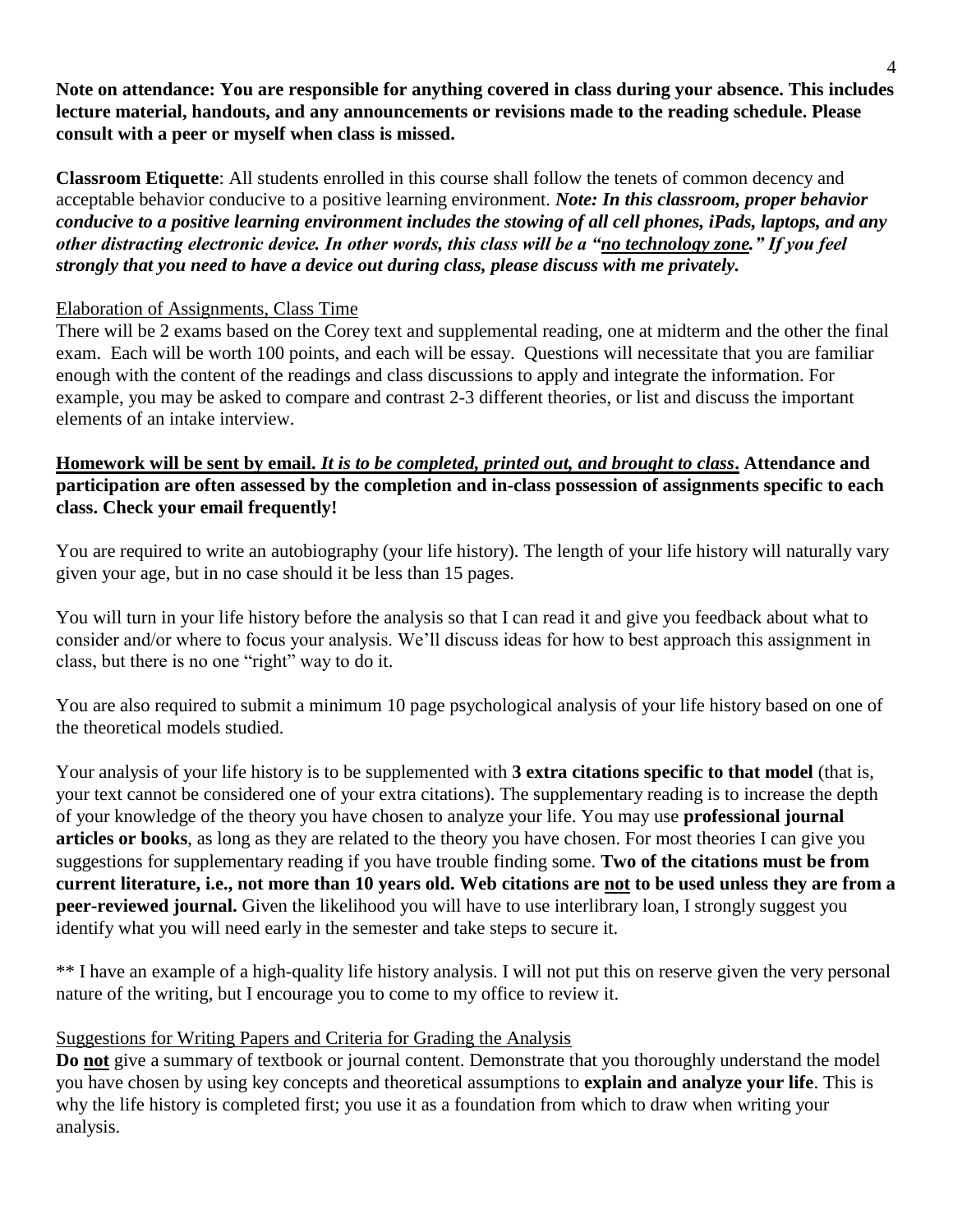**Note on attendance: You are responsible for anything covered in class during your absence. This includes lecture material, handouts, and any announcements or revisions made to the reading schedule. Please consult with a peer or myself when class is missed.**

**Classroom Etiquette**: All students enrolled in this course shall follow the tenets of common decency and acceptable behavior conducive to a positive learning environment. *Note: In this classroom, proper behavior conducive to a positive learning environment includes the stowing of all cell phones, iPads, laptops, and any other distracting electronic device. In other words, this class will be a "no technology zone." If you feel strongly that you need to have a device out during class, please discuss with me privately.*

## Elaboration of Assignments, Class Time

There will be 2 exams based on the Corey text and supplemental reading, one at midterm and the other the final exam. Each will be worth 100 points, and each will be essay. Questions will necessitate that you are familiar enough with the content of the readings and class discussions to apply and integrate the information. For example, you may be asked to compare and contrast 2-3 different theories, or list and discuss the important elements of an intake interview.

# **Homework will be sent by email.** *It is to be completed, printed out, and brought to class***. Attendance and participation are often assessed by the completion and in-class possession of assignments specific to each class. Check your email frequently!**

You are required to write an autobiography (your life history). The length of your life history will naturally vary given your age, but in no case should it be less than 15 pages.

You will turn in your life history before the analysis so that I can read it and give you feedback about what to consider and/or where to focus your analysis. We'll discuss ideas for how to best approach this assignment in class, but there is no one "right" way to do it.

You are also required to submit a minimum 10 page psychological analysis of your life history based on one of the theoretical models studied.

Your analysis of your life history is to be supplemented with **3 extra citations specific to that model** (that is, your text cannot be considered one of your extra citations). The supplementary reading is to increase the depth of your knowledge of the theory you have chosen to analyze your life. You may use **professional journal articles or books**, as long as they are related to the theory you have chosen. For most theories I can give you suggestions for supplementary reading if you have trouble finding some. **Two of the citations must be from current literature, i.e., not more than 10 years old. Web citations are not to be used unless they are from a peer-reviewed journal.** Given the likelihood you will have to use interlibrary loan, I strongly suggest you identify what you will need early in the semester and take steps to secure it.

\*\* I have an example of a high-quality life history analysis. I will not put this on reserve given the very personal nature of the writing, but I encourage you to come to my office to review it.

# Suggestions for Writing Papers and Criteria for Grading the Analysis

**Do not** give a summary of textbook or journal content. Demonstrate that you thoroughly understand the model you have chosen by using key concepts and theoretical assumptions to **explain and analyze your life**. This is why the life history is completed first; you use it as a foundation from which to draw when writing your analysis.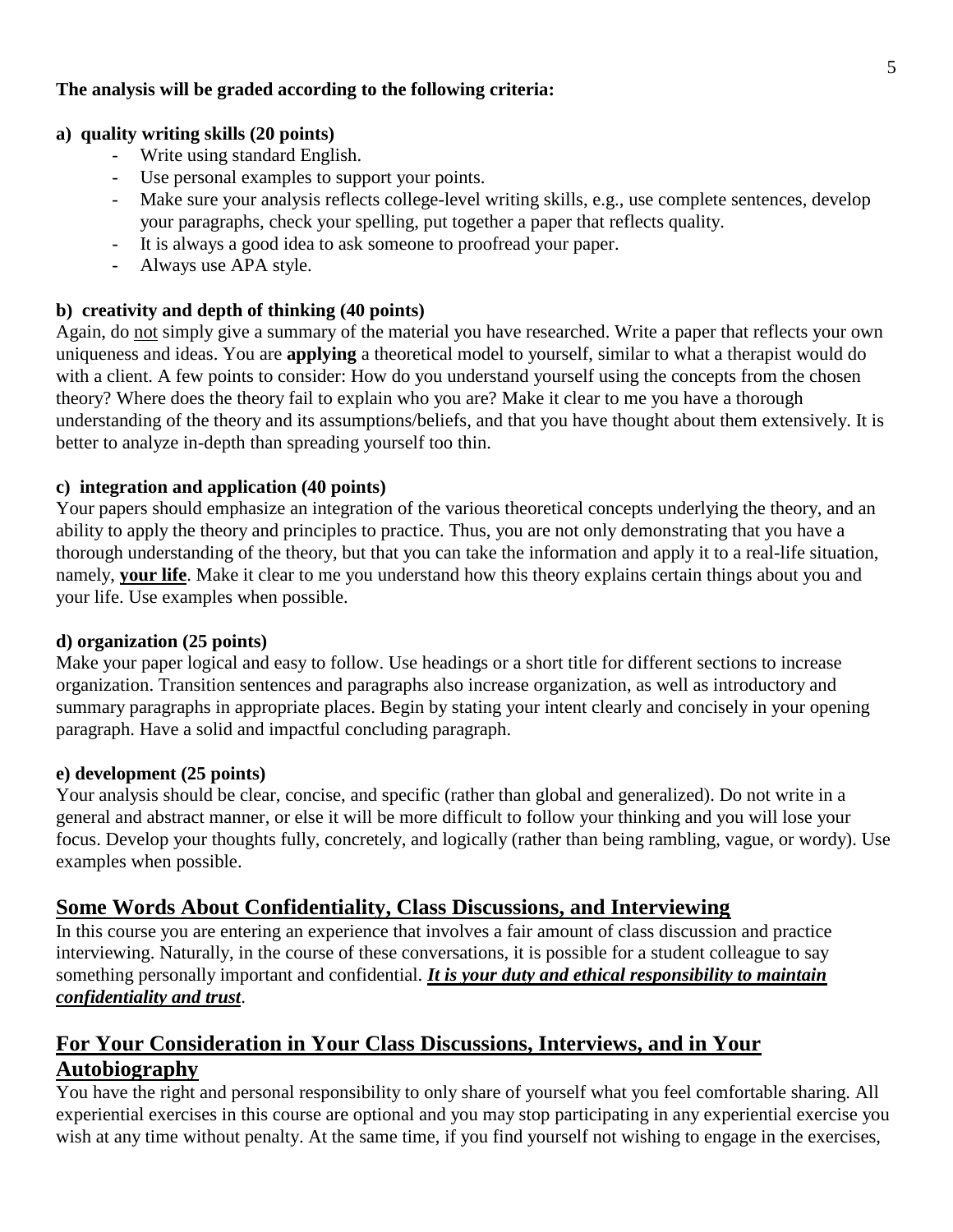# **The analysis will be graded according to the following criteria:**

## **a) quality writing skills (20 points)**

- Write using standard English.
- Use personal examples to support your points.
- Make sure your analysis reflects college-level writing skills, e.g., use complete sentences, develop your paragraphs, check your spelling, put together a paper that reflects quality.
- It is always a good idea to ask someone to proofread your paper.
- Always use APA style.

### **b) creativity and depth of thinking (40 points)**

Again, do not simply give a summary of the material you have researched. Write a paper that reflects your own uniqueness and ideas. You are **applying** a theoretical model to yourself, similar to what a therapist would do with a client. A few points to consider: How do you understand yourself using the concepts from the chosen theory? Where does the theory fail to explain who you are? Make it clear to me you have a thorough understanding of the theory and its assumptions/beliefs, and that you have thought about them extensively. It is better to analyze in-depth than spreading yourself too thin.

### **c) integration and application (40 points)**

Your papers should emphasize an integration of the various theoretical concepts underlying the theory, and an ability to apply the theory and principles to practice. Thus, you are not only demonstrating that you have a thorough understanding of the theory, but that you can take the information and apply it to a real-life situation, namely, **your life**. Make it clear to me you understand how this theory explains certain things about you and your life. Use examples when possible.

#### **d) organization (25 points)**

Make your paper logical and easy to follow. Use headings or a short title for different sections to increase organization. Transition sentences and paragraphs also increase organization, as well as introductory and summary paragraphs in appropriate places. Begin by stating your intent clearly and concisely in your opening paragraph. Have a solid and impactful concluding paragraph.

#### **e) development (25 points)**

Your analysis should be clear, concise, and specific (rather than global and generalized). Do not write in a general and abstract manner, or else it will be more difficult to follow your thinking and you will lose your focus. Develop your thoughts fully, concretely, and logically (rather than being rambling, vague, or wordy). Use examples when possible.

# **Some Words About Confidentiality, Class Discussions, and Interviewing**

In this course you are entering an experience that involves a fair amount of class discussion and practice interviewing. Naturally, in the course of these conversations, it is possible for a student colleague to say something personally important and confidential. *It is your duty and ethical responsibility to maintain confidentiality and trust*.

# **For Your Consideration in Your Class Discussions, Interviews, and in Your Autobiography**

You have the right and personal responsibility to only share of yourself what you feel comfortable sharing. All experiential exercises in this course are optional and you may stop participating in any experiential exercise you wish at any time without penalty. At the same time, if you find yourself not wishing to engage in the exercises,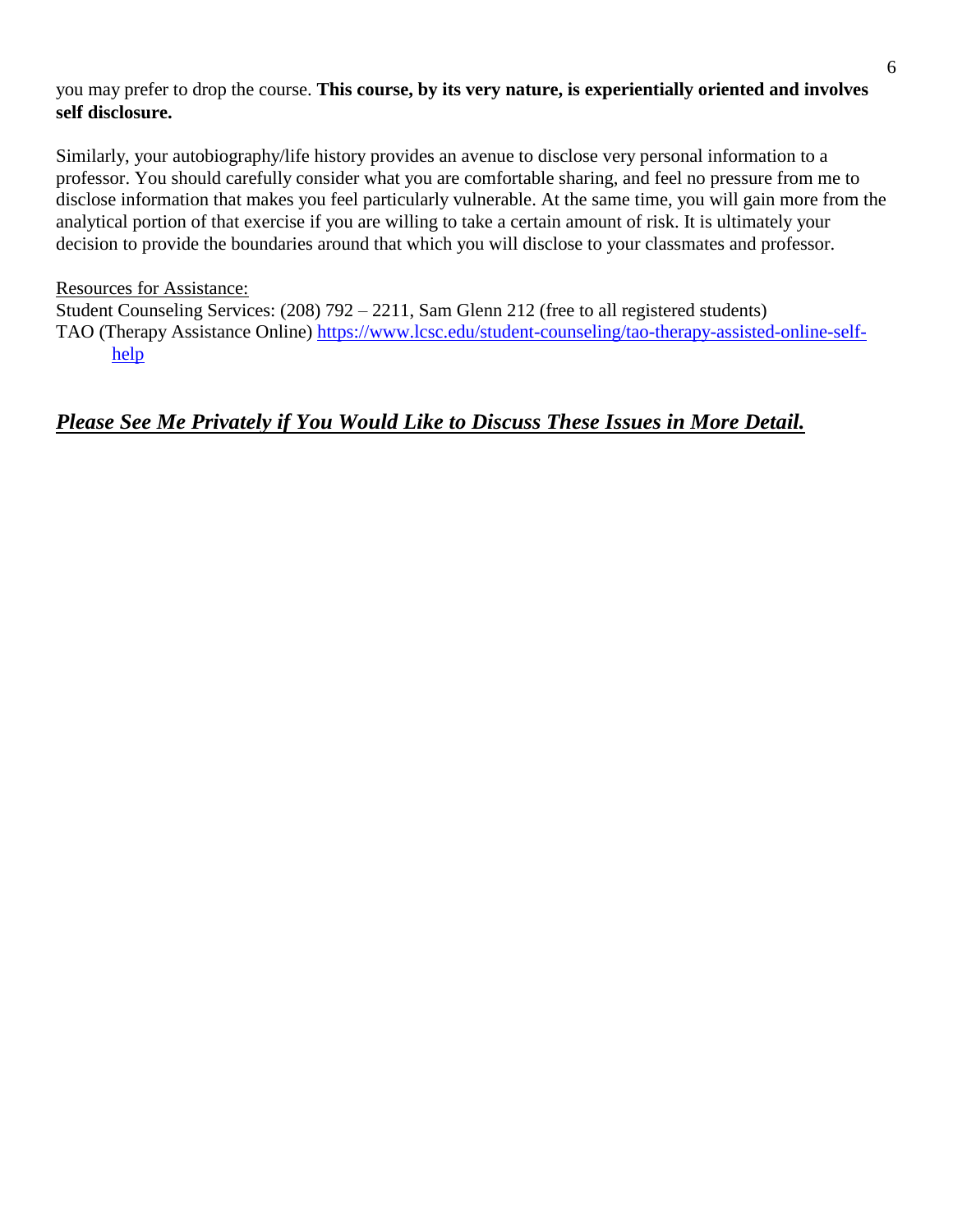# you may prefer to drop the course. **This course, by its very nature, is experientially oriented and involves self disclosure.**

Similarly, your autobiography/life history provides an avenue to disclose very personal information to a professor. You should carefully consider what you are comfortable sharing, and feel no pressure from me to disclose information that makes you feel particularly vulnerable. At the same time, you will gain more from the analytical portion of that exercise if you are willing to take a certain amount of risk. It is ultimately your decision to provide the boundaries around that which you will disclose to your classmates and professor.

### Resources for Assistance:

Student Counseling Services: (208) 792 – 2211, Sam Glenn 212 (free to all registered students) TAO (Therapy Assistance Online) [https://www.lcsc.edu/student-counseling/tao-therapy-assisted-online-self](https://www.lcsc.edu/student-counseling/tao-therapy-assisted-online-self-help)[help](https://www.lcsc.edu/student-counseling/tao-therapy-assisted-online-self-help)

# *Please See Me Privately if You Would Like to Discuss These Issues in More Detail.*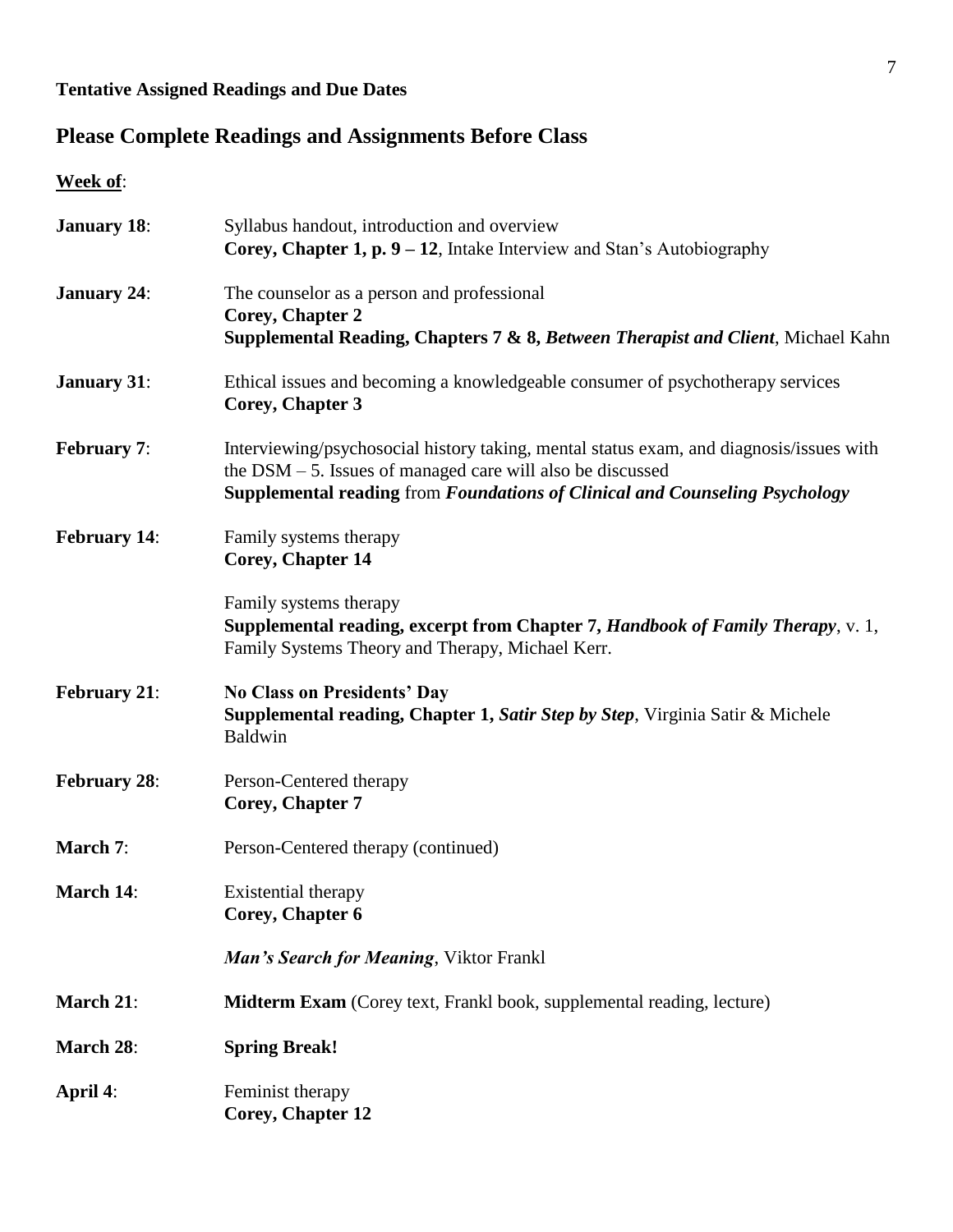# **Tentative Assigned Readings and Due Dates**

# **Please Complete Readings and Assignments Before Class**

**Week of**:

| <b>January 18:</b>  | Syllabus handout, introduction and overview<br><b>Corey, Chapter 1, p. 9 – 12</b> , Intake Interview and Stan's Autobiography                                                                                                                  |
|---------------------|------------------------------------------------------------------------------------------------------------------------------------------------------------------------------------------------------------------------------------------------|
| <b>January 24:</b>  | The counselor as a person and professional<br><b>Corey, Chapter 2</b><br>Supplemental Reading, Chapters 7 & 8, Between Therapist and Client, Michael Kahn                                                                                      |
| <b>January 31:</b>  | Ethical issues and becoming a knowledgeable consumer of psychotherapy services<br>Corey, Chapter 3                                                                                                                                             |
| <b>February 7:</b>  | Interviewing/psychosocial history taking, mental status exam, and diagnosis/issues with<br>the $DSM - 5$ . Issues of managed care will also be discussed<br><b>Supplemental reading from Foundations of Clinical and Counseling Psychology</b> |
| <b>February 14:</b> | Family systems therapy<br><b>Corey, Chapter 14</b>                                                                                                                                                                                             |
|                     | Family systems therapy<br>Supplemental reading, excerpt from Chapter 7, Handbook of Family Therapy, v. 1,<br>Family Systems Theory and Therapy, Michael Kerr.                                                                                  |
| <b>February 21:</b> | <b>No Class on Presidents' Day</b><br><b>Supplemental reading, Chapter 1, Satir Step by Step, Virginia Satir &amp; Michele</b><br><b>Baldwin</b>                                                                                               |
| <b>February 28:</b> | Person-Centered therapy<br><b>Corey, Chapter 7</b>                                                                                                                                                                                             |
| March 7:            | Person-Centered therapy (continued)                                                                                                                                                                                                            |
| <b>March 14:</b>    | Existential therapy<br>Corey, Chapter 6                                                                                                                                                                                                        |
|                     | Man's Search for Meaning, Viktor Frankl                                                                                                                                                                                                        |
| March 21:           | <b>Midterm Exam</b> (Corey text, Frankl book, supplemental reading, lecture)                                                                                                                                                                   |
| March 28:           | <b>Spring Break!</b>                                                                                                                                                                                                                           |
| April 4:            | Feminist therapy<br>Corey, Chapter 12                                                                                                                                                                                                          |